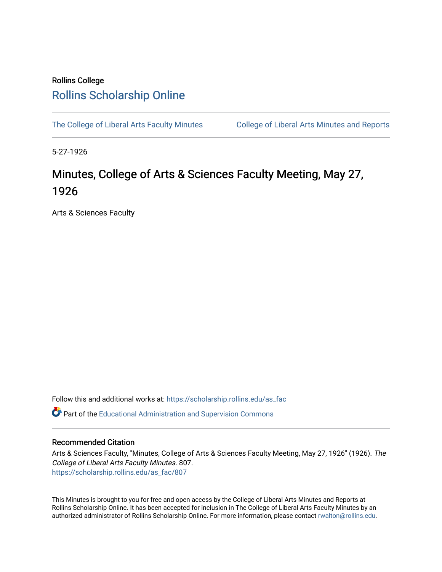## Rollins College [Rollins Scholarship Online](https://scholarship.rollins.edu/)

[The College of Liberal Arts Faculty Minutes](https://scholarship.rollins.edu/as_fac) College of Liberal Arts Minutes and Reports

5-27-1926

## Minutes, College of Arts & Sciences Faculty Meeting, May 27, 1926

Arts & Sciences Faculty

Follow this and additional works at: [https://scholarship.rollins.edu/as\\_fac](https://scholarship.rollins.edu/as_fac?utm_source=scholarship.rollins.edu%2Fas_fac%2F807&utm_medium=PDF&utm_campaign=PDFCoverPages) 

**P** Part of the [Educational Administration and Supervision Commons](http://network.bepress.com/hgg/discipline/787?utm_source=scholarship.rollins.edu%2Fas_fac%2F807&utm_medium=PDF&utm_campaign=PDFCoverPages)

## Recommended Citation

Arts & Sciences Faculty, "Minutes, College of Arts & Sciences Faculty Meeting, May 27, 1926" (1926). The College of Liberal Arts Faculty Minutes. 807. [https://scholarship.rollins.edu/as\\_fac/807](https://scholarship.rollins.edu/as_fac/807?utm_source=scholarship.rollins.edu%2Fas_fac%2F807&utm_medium=PDF&utm_campaign=PDFCoverPages) 

This Minutes is brought to you for free and open access by the College of Liberal Arts Minutes and Reports at Rollins Scholarship Online. It has been accepted for inclusion in The College of Liberal Arts Faculty Minutes by an authorized administrator of Rollins Scholarship Online. For more information, please contact [rwalton@rollins.edu](mailto:rwalton@rollins.edu).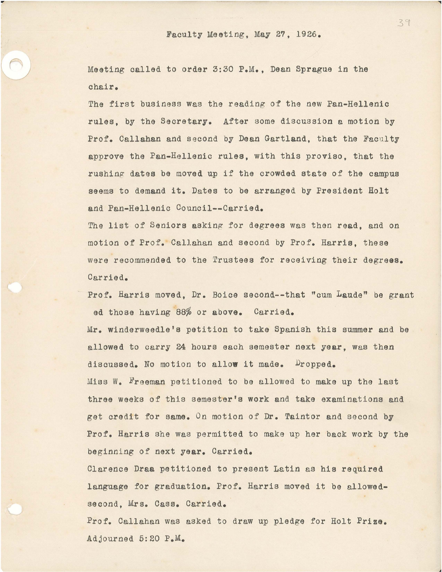Meeting called to order 3:30 P.M., Dean Sprague in the chair.

. The contract of the contract of the contract of the contract of the contract of  $\mathcal{A}$ 

The first business was the reading of the new Pan-Hellenic rules, by the Secretary. After some discussion a motion by Prof. Callahan and second by Dean Gartland, that the Faculty approve the Pan-Hellenic rules, with this proviso, that the rushing dates be moved up if the crowded state of the campus seems to demand it. Dates to be arranged by President Holt and Pan-Hellenic Council--Carried.

The list of Seniors asking for degrees was then read, and on motion of Prof. Callahan and second by Prof. Harris, these were recommended to the Trustees for receiving their degrees. Carried.

Prof. Harris moved, Dr. Boice second--that "cum Laude" be grant ed those having 88% or above. Carried.

Mr. winderweedle'a petition to take Spanish this summer and be allowed to carry 24 hours each semester next **year,** was then discussed. No motion to allow it made. Dropped. Miss w. Freeman petitioned to be allowed to make up the last three weeks of this semester's work and take examinations and get credit for same. On motion of Dr. Taintor and second by

Prof. Harris she was permitted to make up her back work by the beginning of next **year.** Carried.

Clarence **Draa** petitioned to present Latin as his required language for graduation. Prof. Harris moved it be allowedsecond, Mrs. Cass. Carried.

Prof. Callahan was asked to draw up pledge for Holt **Prize.**  Adjourned 5:20 P.M.